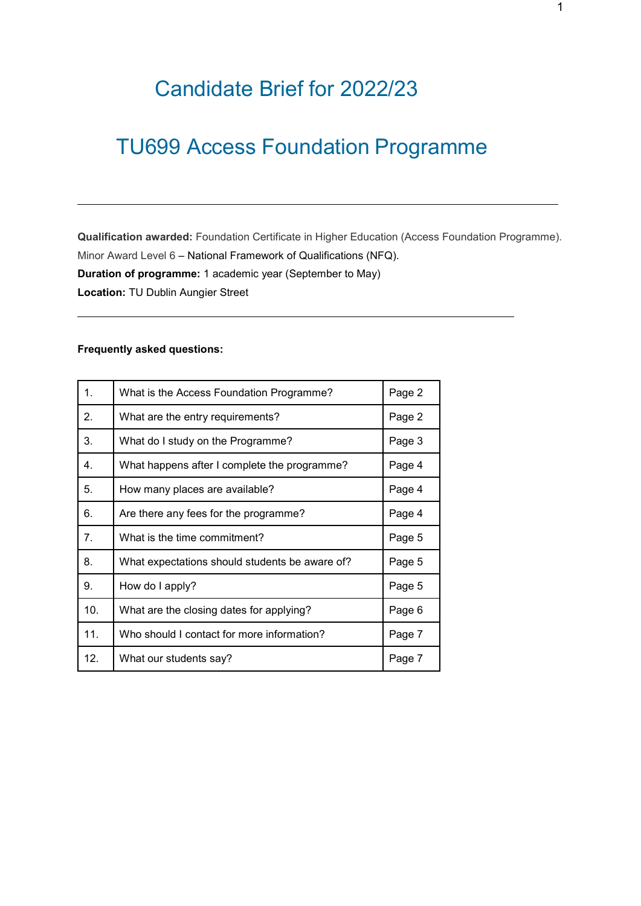# Candidate Brief for 2022/23

# TU699 Access Foundation Programme

**Qualification awarded:** Foundation Certificate in Higher Education (Access Foundation Programme). Minor Award Level 6 – National Framework of Qualifications (NFQ). **Duration of programme:** 1 academic year (September to May) **Location:** TU Dublin Aungier Street

### **Frequently asked questions:**

| 1.  | What is the Access Foundation Programme?       | Page 2 |
|-----|------------------------------------------------|--------|
| 2.  | What are the entry requirements?               | Page 2 |
| 3.  | What do I study on the Programme?              | Page 3 |
| 4.  | What happens after I complete the programme?   | Page 4 |
| 5.  | How many places are available?                 | Page 4 |
| 6.  | Are there any fees for the programme?          | Page 4 |
| 7.  | What is the time commitment?                   | Page 5 |
| 8.  | What expectations should students be aware of? | Page 5 |
| 9.  | How do I apply?                                | Page 5 |
| 10. | What are the closing dates for applying?       | Page 6 |
| 11. | Who should I contact for more information?     | Page 7 |
| 12. | What our students say?                         | Page 7 |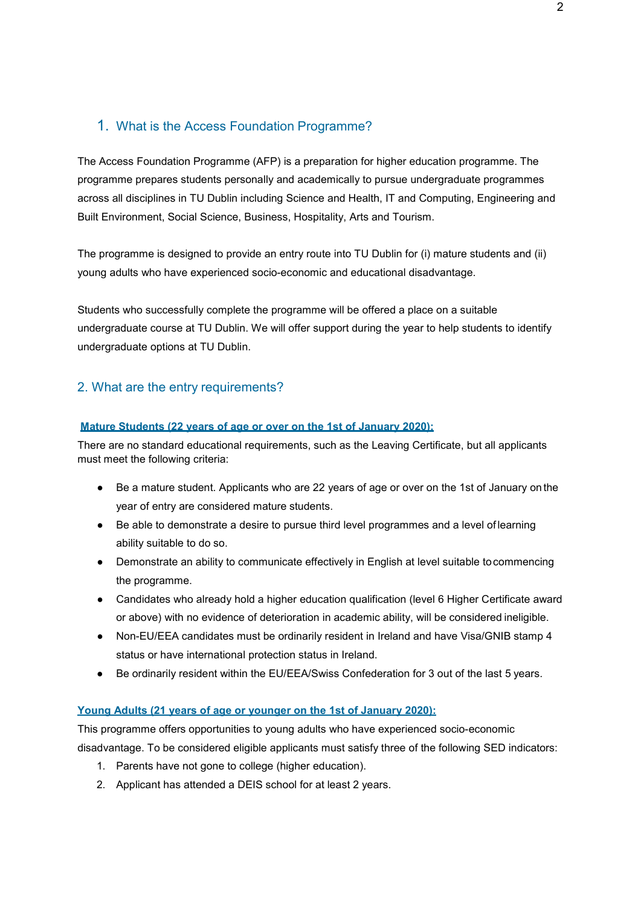# 1. What is the Access Foundation Programme?

The Access Foundation Programme (AFP) is a preparation for higher education programme. The programme prepares students personally and academically to pursue undergraduate programmes across all disciplines in TU Dublin including Science and Health, IT and Computing, Engineering and Built Environment, Social Science, Business, Hospitality, Arts and Tourism.

The programme is designed to provide an entry route into TU Dublin for (i) mature students and (ii) young adults who have experienced socio-economic and educational disadvantage.

Students who successfully complete the programme will be offered a place on a suitable undergraduate course at TU Dublin. We will offer support during the year to help students to identify undergraduate options at TU Dublin.

# 2. What are the entry requirements?

#### **Mature Students (22 years of age or over on the 1st of January 2020):**

There are no standard educational requirements, such as the Leaving Certificate, but all applicants must meet the following criteria:

- Be a mature student. Applicants who are 22 years of age or over on the 1st of January on the year of entry are considered mature students.
- Be able to demonstrate a desire to pursue third level programmes and a level of learning ability suitable to do so.
- Demonstrate an ability to communicate effectively in English at level suitable to commencing the programme.
- Candidates who already hold a higher education qualification (level 6 Higher Certificate award or above) with no evidence of deterioration in academic ability, will be considered ineligible.
- Non-EU/EEA candidates must be ordinarily resident in Ireland and have Visa/GNIB stamp 4 status or have international protection status in Ireland.
- Be ordinarily resident within the EU/EEA/Swiss Confederation for 3 out of the last 5 years.

#### **Young Adults (21 years of age or younger on the 1st of January 2020):**

This programme offers opportunities to young adults who have experienced socio-economic disadvantage. To be considered eligible applicants must satisfy three of the following SED indicators:

- 1. Parents have not gone to college (higher education).
- 2. Applicant has attended a DEIS school for at least 2 years.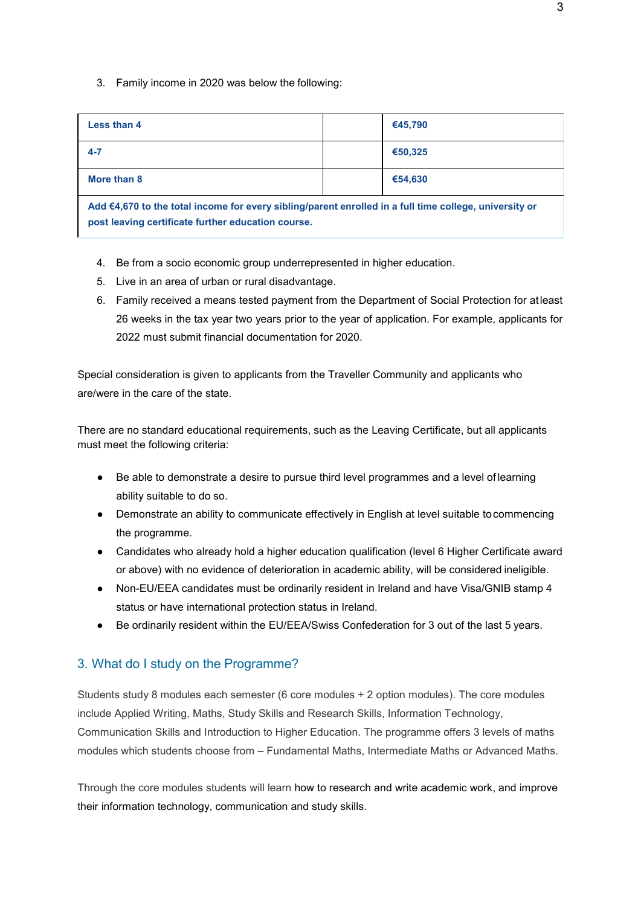3. Family income in 2020 was below the following:

| <b>Less than 4</b>                                                                                     | €45,790 |  |  |
|--------------------------------------------------------------------------------------------------------|---------|--|--|
| $4 - 7$                                                                                                | €50,325 |  |  |
| More than 8                                                                                            | €54.630 |  |  |
| Add €4,670 to the total income for every sibling/parent enrolled in a full time college, university or |         |  |  |

**post leaving certificate further education course.**

- 4. Be from a socio economic group underrepresented in higher education.
- 5. Live in an area of urban or rural disadvantage.
- 6. Family received a means tested payment from the Department of Social Protection for atleast 26 weeks in the tax year two years prior to the year of application. For example, applicants for 2022 must submit financial documentation for 2020.

Special consideration is given to applicants from the Traveller Community and applicants who are/were in the care of the state.

There are no standard educational requirements, such as the Leaving Certificate, but all applicants must meet the following criteria:

- Be able to demonstrate a desire to pursue third level programmes and a level of learning ability suitable to do so.
- Demonstrate an ability to communicate effectively in English at level suitable tocommencing the programme.
- Candidates who already hold a higher education qualification (level 6 Higher Certificate award or above) with no evidence of deterioration in academic ability, will be considered ineligible.
- Non-EU/EEA candidates must be ordinarily resident in Ireland and have Visa/GNIB stamp 4 status or have international protection status in Ireland.
- Be ordinarily resident within the EU/EEA/Swiss Confederation for 3 out of the last 5 years.

## 3. What do I study on the Programme?

Students study 8 modules each semester (6 core modules + 2 option modules). The core modules include Applied Writing, Maths, Study Skills and Research Skills, Information Technology, Communication Skills and Introduction to Higher Education. The programme offers 3 levels of maths modules which students choose from – Fundamental Maths, Intermediate Maths or Advanced Maths.

Through the core modules students will learn how to research and write academic work, and improve their information technology, communication and study skills.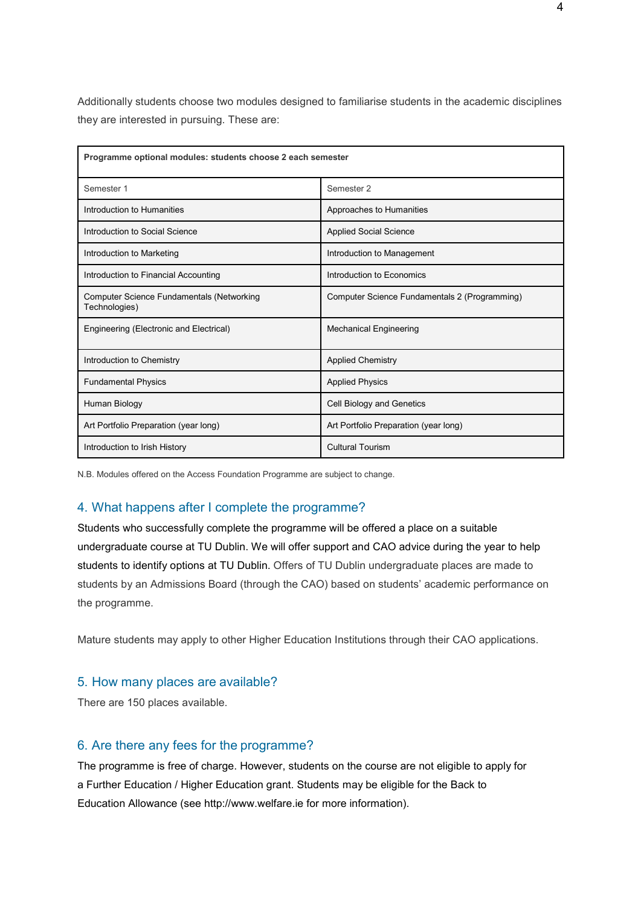Additionally students choose two modules designed to familiarise students in the academic disciplines they are interested in pursuing. These are:

| Programme optional modules: students choose 2 each semester |                                               |  |  |
|-------------------------------------------------------------|-----------------------------------------------|--|--|
| Semester 1                                                  | Semester <sub>2</sub>                         |  |  |
| Introduction to Humanities                                  | Approaches to Humanities                      |  |  |
| Introduction to Social Science                              | <b>Applied Social Science</b>                 |  |  |
| Introduction to Marketing                                   | Introduction to Management                    |  |  |
| Introduction to Financial Accounting                        | Introduction to Economics                     |  |  |
| Computer Science Fundamentals (Networking<br>Technologies)  | Computer Science Fundamentals 2 (Programming) |  |  |
| Engineering (Electronic and Electrical)                     | <b>Mechanical Engineering</b>                 |  |  |
| Introduction to Chemistry                                   | <b>Applied Chemistry</b>                      |  |  |
| <b>Fundamental Physics</b>                                  | <b>Applied Physics</b>                        |  |  |
| Human Biology                                               | Cell Biology and Genetics                     |  |  |
| Art Portfolio Preparation (year long)                       | Art Portfolio Preparation (year long)         |  |  |
| Introduction to Irish History                               | <b>Cultural Tourism</b>                       |  |  |

N.B. Modules offered on the Access Foundation Programme are subject to change.

#### 4. What happens after I complete the programme?

Students who successfully complete the programme will be offered a place on a suitable undergraduate course at TU Dublin. We will offer support and CAO advice during the year to help students to identify options at TU Dublin. Offers of TU Dublin undergraduate places are made to students by an Admissions Board (through the CAO) based on students' academic performance on the programme.

Mature students may apply to other Higher Education Institutions through their CAO applications.

## 5. How many places are available?

There are 150 places available.

#### 6. Are there any fees for the programme?

The programme is free of charge. However, students on the course are not eligible to apply for a Further Education / Higher Education grant. Students may be eligible for the Back to Education Allowance (see [http://www.welfare.ie f](http://www.welfare.ie/)or more information).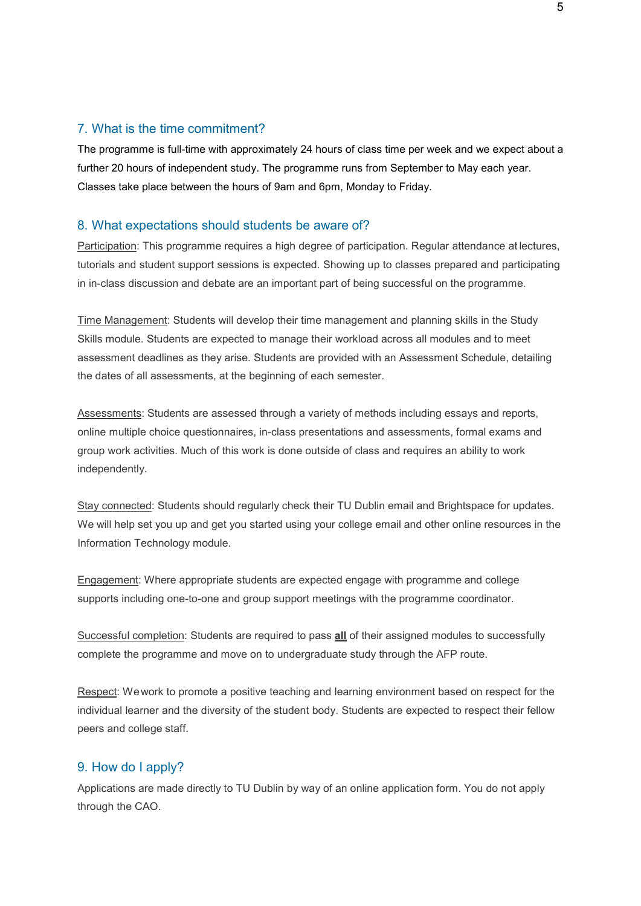### 7. What is the time commitment?

The programme is full-time with approximately 24 hours of class time per week and we expect about a further 20 hours of independent study. The programme runs from September to May each year. Classes take place between the hours of 9am and 6pm, Monday to Friday.

#### 8. What expectations should students be aware of?

Participation: This programme requires a high degree of participation. Regular attendance at lectures, tutorials and student support sessions is expected. Showing up to classes prepared and participating in in-class discussion and debate are an important part of being successful on the programme.

Time Management: Students will develop their time management and planning skills in the Study Skills module. Students are expected to manage their workload across all modules and to meet assessment deadlines as they arise. Students are provided with an Assessment Schedule, detailing the dates of all assessments, at the beginning of each semester.

Assessments: Students are assessed through a variety of methods including essays and reports, online multiple choice questionnaires, in-class presentations and assessments, formal exams and group work activities. Much of this work is done outside of class and requires an ability to work independently.

Stay connected: Students should regularly check their TU Dublin email and Brightspace for updates. We will help set you up and get you started using your college email and other online resources in the Information Technology module.

Engagement: Where appropriate students are expected engage with programme and college supports including one-to-one and group support meetings with the programme coordinator.

Successful completion: Students are required to pass **all** of their assigned modules to successfully complete the programme and move on to undergraduate study through the AFP route.

Respect: Wework to promote a positive teaching and learning environment based on respect for the individual learner and the diversity of the student body. Students are expected to respect their fellow peers and college staff.

## 9. How do I apply?

Applications are made directly to TU Dublin by way of an online application form. You do not apply through the CAO.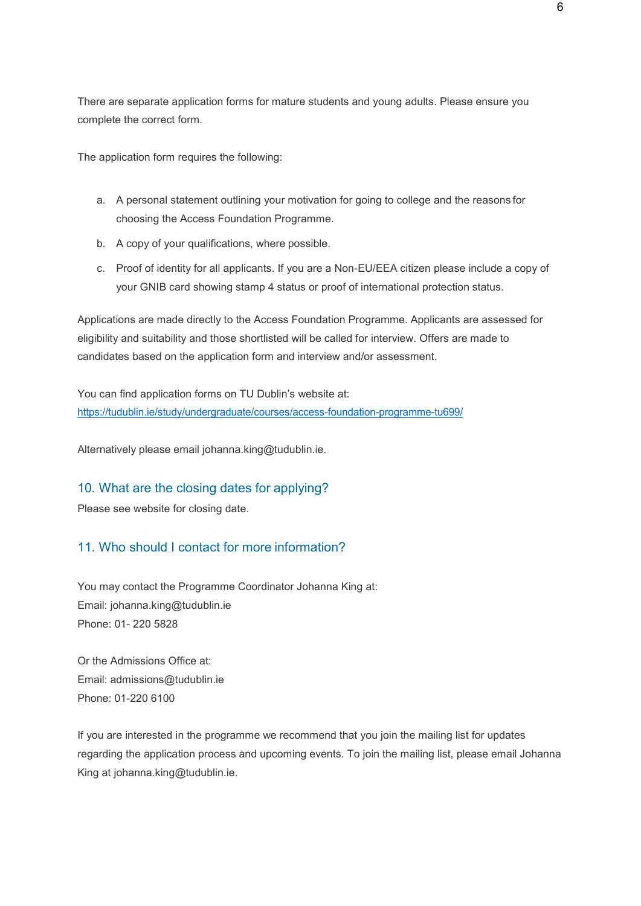There are separate application forms for mature students and young adults. Please ensure you complete the correct form.

The application form requires the following:

- a. A personal statement outlining your motivation for going to college and the reasons for choosing the Access Foundation Programme.
- b. A copy of your qualifications, where possible.
- c. Proof of identity for all applicants. If you are a Non-EU/EEA citizen please include a copy of your GNIB card showing stamp 4 status or proof of international protection status.

Applications are made directly to the Access Foundation Programme. Applicants are assessed for eligibility and suitability and those shortlisted will be called for interview. Offers are made to candidates based on the application form and interview and/or assessment.

You can find application forms on TU Dublin's website at: <https://tudublin.ie/study/undergraduate/courses/access-foundation-programme-tu699/>

Alternatively please email [johanna.king@tudublin.ie.](mailto:johanna.king@tudublin.ie)

## 10. What are the closing dates for applying?

Please see website for closing date.

# 11. Who should I contact for more information?

You may contact the Programme Coordinator Johanna King at: Email: [johanna.king@tudublin.ie](mailto:johanna.king@tudublin.ie) Phone: 01- 220 5828

Or the Admissions Office at: Email: [admissions@tudublin.ie](mailto:admissions@tudublin.ie) Phone: 01-220 6100

If you are interested in the programme we recommend that you join the mailing list for updates regarding the application process and upcoming events. To join the mailing list, please email Johanna King at [johanna.king@tudublin.ie.](mailto:johanna.king@tudublin.ie)